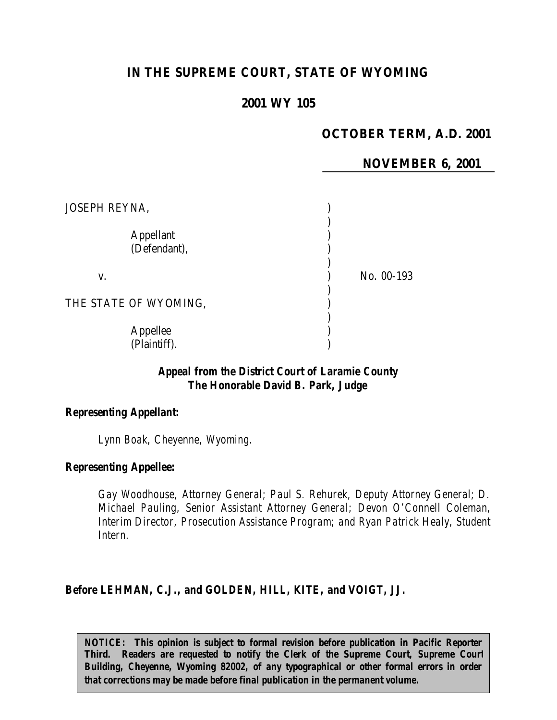# **IN THE SUPREME COURT, STATE OF WYOMING**

## **2001 WY 105**

# **OCTOBER TERM, A.D. 2001**

### **NOVEMBER 6, 2001**

| <b>JOSEPH REYNA,</b>             |            |
|----------------------------------|------------|
| <b>Appellant</b><br>(Defendant), |            |
| V.                               | No. 00-193 |
| THE STATE OF WYOMING,            |            |
| Appellee<br>(Plaintiff).         |            |

## *Appeal from the District Court of Laramie County The Honorable David B. Park, Judge*

#### *Representing Appellant:*

*Lynn Boak, Cheyenne, Wyoming.*

#### *Representing Appellee:*

*Gay Woodhouse, Attorney General; Paul S. Rehurek, Deputy Attorney General; D. Michael Pauling, Senior Assistant Attorney General; Devon O'Connell Coleman, Interim Director, Prosecution Assistance Program; and Ryan Patrick Healy, Student Intern.*

#### *Before LEHMAN, C.J., and GOLDEN, HILL, KITE, and VOIGT, JJ.*

*NOTICE:* This opinion is subject to formal revision before publication in Pacific Reporter *Third. Readers are requested to notify the Clerk of the Supreme Court, Supreme Court Building, Cheyenne, Wyoming 82002, of any typographical or other formal errors in order that corrections may be made before final publication in the permanent volume.*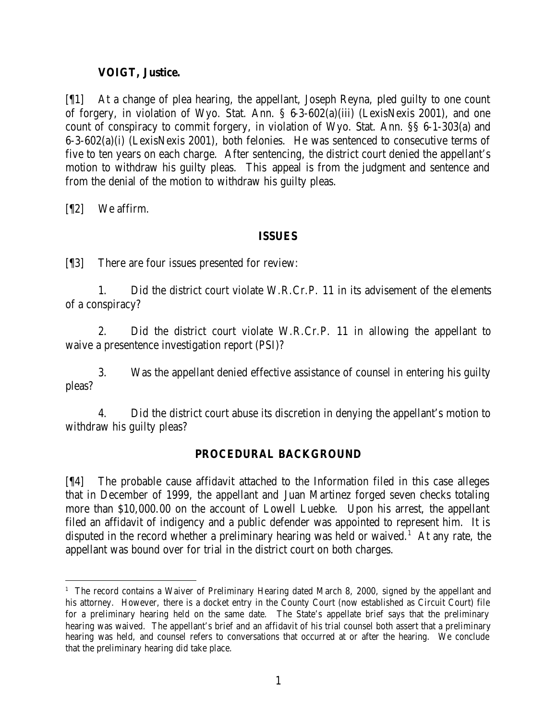### **VOIGT, Justice.**

[¶1] At a change of plea hearing, the appellant, Joseph Reyna, pled guilty to one count of forgery, in violation of Wyo. Stat. Ann. § 6-3-602(a)(iii) (LexisNexis 2001), and one count of conspiracy to commit forgery, in violation of Wyo. Stat. Ann. §§ 6-1-303(a) and 6-3-602(a)(i) (LexisNexis 2001), both felonies. He was sentenced to consecutive terms of five to ten years on each charge. After sentencing, the district court denied the appellant's motion to withdraw his guilty pleas. This appeal is from the judgment and sentence and from the denial of the motion to withdraw his guilty pleas.

[¶2] We affirm.

#### **ISSUES**

[¶3] There are four issues presented for review:

1. Did the district court violate W.R.Cr.P. 11 in its advisement of the elements of a conspiracy?

2. Did the district court violate W.R.Cr.P. 11 in allowing the appellant to waive a presentence investigation report (PSI)?

3. Was the appellant denied effective assistance of counsel in entering his guilty pleas?

4. Did the district court abuse its discretion in denying the appellant's motion to withdraw his guilty pleas?

### **PROCEDURAL BACKGROUND**

[¶4] The probable cause affidavit attached to the Information filed in this case alleges that in December of 1999, the appellant and Juan Martinez forged seven checks totaling more than \$10,000.00 on the account of Lowell Luebke. Upon his arrest, the appellant filed an affidavit of indigency and a public defender was appointed to represent him. It is disputed in the record whether a preliminary hearing was held or waived.<sup>1</sup> At any rate, the appellant was bound over for trial in the district court on both charges.

 <sup>1</sup> The record contains a Waiver of Preliminary Hearing dated March 8, 2000, signed by the appellant and his attorney. However, there is a docket entry in the County Court (now established as Circuit Court) file for a preliminary hearing held on the same date. The State's appellate brief says that the preliminary hearing was waived. The appellant's brief and an affidavit of his trial counsel both assert that a preliminary hearing was held, and counsel refers to conversations that occurred at or after the hearing. We conclude that the preliminary hearing did take place.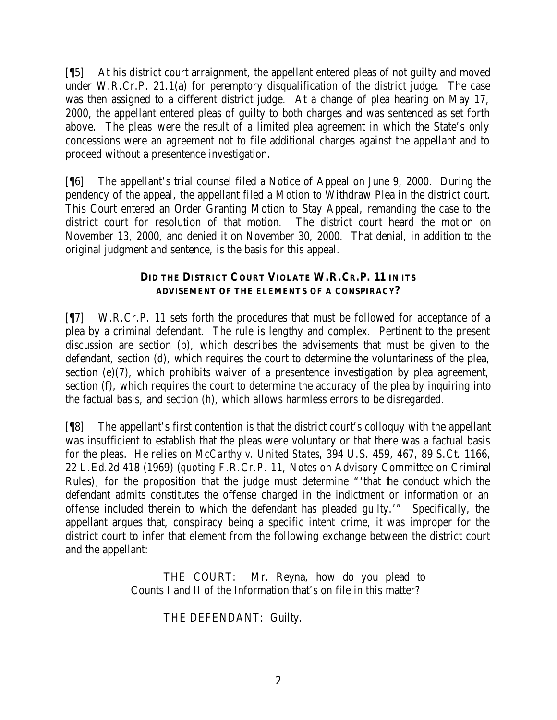[¶5] At his district court arraignment, the appellant entered pleas of not guilty and moved under W.R.Cr.P. 21.1(a) for peremptory disqualification of the district judge. The case was then assigned to a different district judge. At a change of plea hearing on May 17, 2000, the appellant entered pleas of guilty to both charges and was sentenced as set forth above. The pleas were the result of a limited plea agreement in which the State's only concessions were an agreement not to file additional charges against the appellant and to proceed without a presentence investigation.

[¶6] The appellant's trial counsel filed a Notice of Appeal on June 9, 2000. During the pendency of the appeal, the appellant filed a Motion to Withdraw Plea in the district court. This Court entered an Order Granting Motion to Stay Appeal, remanding the case to the district court for resolution of that motion. The district court heard the motion on November 13, 2000, and denied it on November 30, 2000. That denial, in addition to the original judgment and sentence, is the basis for this appeal.

## **DID THE DISTRICT COURT VIOLATE W.R.CR.P. 11 IN ITS ADVISEMENT OF THE ELEMENTS OF A CONSPIRACY?**

[¶7] W.R.Cr.P. 11 sets forth the procedures that must be followed for acceptance of a plea by a criminal defendant. The rule is lengthy and complex. Pertinent to the present discussion are section (b), which describes the advisements that must be given to the defendant, section (d), which requires the court to determine the voluntariness of the plea, section (e)(7), which prohibits waiver of a presentence investigation by plea agreement, section (f), which requires the court to determine the accuracy of the plea by inquiring into the factual basis, and section (h), which allows harmless errors to be disregarded.

[¶8] The appellant's first contention is that the district court's colloquy with the appellant was insufficient to establish that the pleas were voluntary or that there was a factual basis for the pleas. He relies on *McCarthy v. United States*, 394 U.S. 459, 467, 89 S.Ct. 1166, 22 L.Ed.2d 418 (1969) (*quoting* F.R.Cr.P. 11, Notes on Advisory Committee on Criminal Rules), for the proposition that the judge must determine "'that the conduct which the defendant admits constitutes the offense charged in the indictment or information or an offense included therein to which the defendant has pleaded guilty.'" Specifically, the appellant argues that, conspiracy being a specific intent crime, it was improper for the district court to infer that element from the following exchange between the district court and the appellant:

> THE COURT: Mr. Reyna, how do you plead to Counts I and II of the Information that's on file in this matter?

> > THE DEFENDANT: Guilty.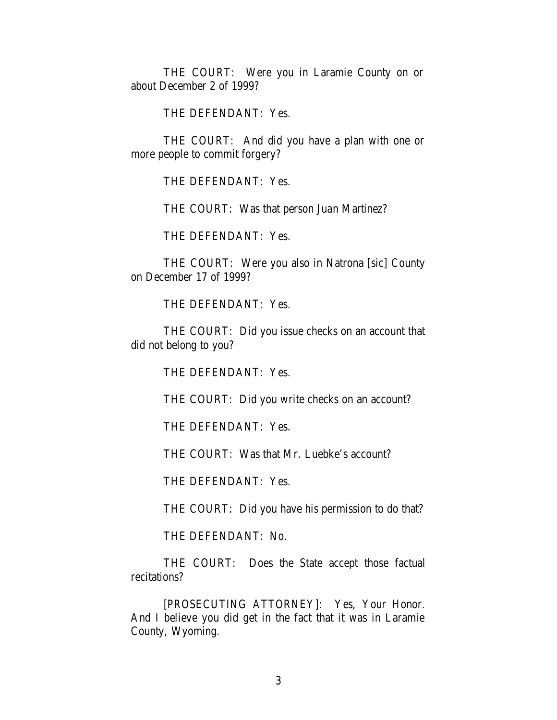THE COURT: Were you in Laramie County on or about December 2 of 1999?

THE DEFENDANT: Yes.

THE COURT: And did you have a plan with one or more people to commit forgery?

THE DEFENDANT: Yes.

THE COURT: Was that person Juan Martinez?

THE DEFENDANT: Yes.

THE COURT: Were you also in Natrona [sic] County on December 17 of 1999?

THE DEFENDANT: Yes.

THE COURT: Did you issue checks on an account that did not belong to you?

THE DEFENDANT: Yes.

THE COURT: Did you write checks on an account?

THE DEFENDANT: Yes.

THE COURT: Was that Mr. Luebke's account?

THE DEFENDANT: Yes.

THE COURT: Did you have his permission to do that?

THE DEFENDANT: No.

THE COURT: Does the State accept those factual recitations?

[PROSECUTING ATTORNEY]: Yes, Your Honor. And I believe you did get in the fact that it was in Laramie County, Wyoming.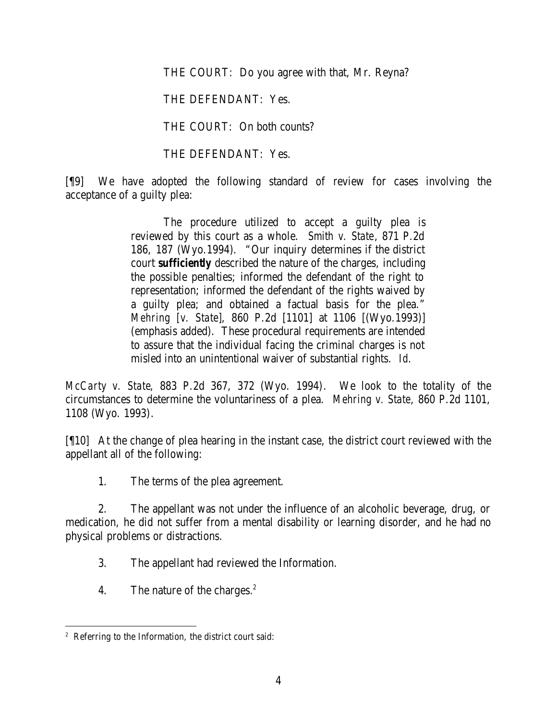THE COURT: Do you agree with that, Mr. Reyna?

THE DEFENDANT: Yes.

THE COURT: On both counts?

THE DEFENDANT: Yes.

[¶9] We have adopted the following standard of review for cases involving the acceptance of a guilty plea:

> The procedure utilized to accept a guilty plea is reviewed by this court as a whole. *Smith v. State*, 871 P.2d 186, 187 (Wyo.1994). "Our inquiry determines if the district court *sufficiently* described the nature of the charges, including the possible penalties; informed the defendant of the right to representation; informed the defendant of the rights waived by a guilty plea; and obtained a factual basis for the plea." *Mehring [v. State]*, 860 P.2d [1101] at 1106 [(Wyo.1993)] (emphasis added). These procedural requirements are intended to assure that the individual facing the criminal charges is not misled into an unintentional waiver of substantial rights. *Id.*

*McCarty v. State*, 883 P.2d 367, 372 (Wyo. 1994). We look to the totality of the circumstances to determine the voluntariness of a plea. *Mehring v. State*, 860 P.2d 1101, 1108 (Wyo. 1993).

[¶10] At the change of plea hearing in the instant case, the district court reviewed with the appellant all of the following:

1. The terms of the plea agreement.

2. The appellant was not under the influence of an alcoholic beverage, drug, or medication, he did not suffer from a mental disability or learning disorder, and he had no physical problems or distractions.

3. The appellant had reviewed the Information.

4. The nature of the charges.<sup>2</sup>

 2 Referring to the Information, the district court said: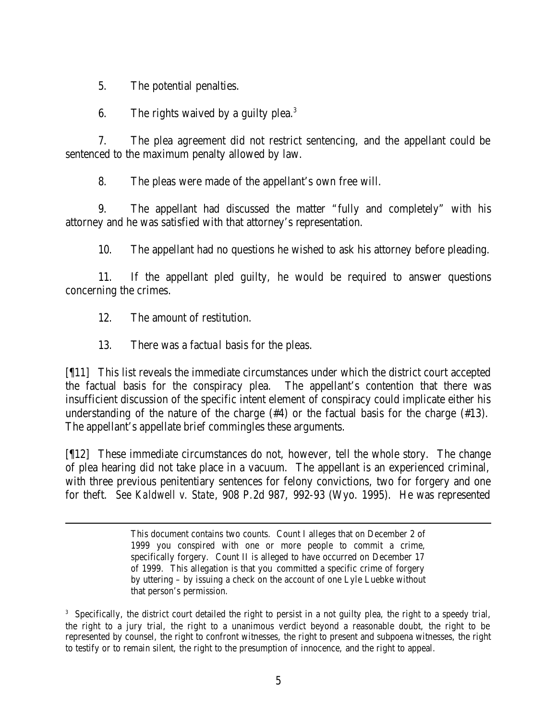5. The potential penalties.

6. The rights waived by a guilty plea. $3$ 

7. The plea agreement did not restrict sentencing, and the appellant could be sentenced to the maximum penalty allowed by law.

8. The pleas were made of the appellant's own free will.

9. The appellant had discussed the matter "fully and completely" with his attorney and he was satisfied with that attorney's representation.

10. The appellant had no questions he wished to ask his attorney before pleading.

11. If the appellant pled guilty, he would be required to answer questions concerning the crimes.

12. The amount of restitution.

13. There was a factual basis for the pleas.

[¶11] This list reveals the immediate circumstances under which the district court accepted the factual basis for the conspiracy plea. The appellant's contention that there was insufficient discussion of the specific intent element of conspiracy could implicate either his understanding of the nature of the charge (#4) or the factual basis for the charge (#13). The appellant's appellate brief commingles these arguments.

[¶12] These immediate circumstances do not, however, tell the whole story. The change of plea hearing did not take place in a vacuum. The appellant is an experienced criminal, with three previous penitentiary sentences for felony convictions, two for forgery and one for theft. *See Kaldwell v. State*, 908 P.2d 987, 992-93 (Wyo. 1995). He was represented

This document contains two counts. Count I alleges that on December 2 of 1999 you conspired with one or more people to commit a crime, specifically forgery. Count II is alleged to have occurred on December 17 of 1999. This allegation is that you committed a specific crime of forgery by uttering – by issuing a check on the account of one Lyle Luebke without that person's permission.

<sup>3</sup> Specifically, the district court detailed the right to persist in a not guilty plea, the right to a speedy trial, the right to a jury trial, the right to a unanimous verdict beyond a reasonable doubt, the right to be represented by counsel, the right to confront witnesses, the right to present and subpoena witnesses, the right to testify or to remain silent, the right to the presumption of innocence, and the right to appeal.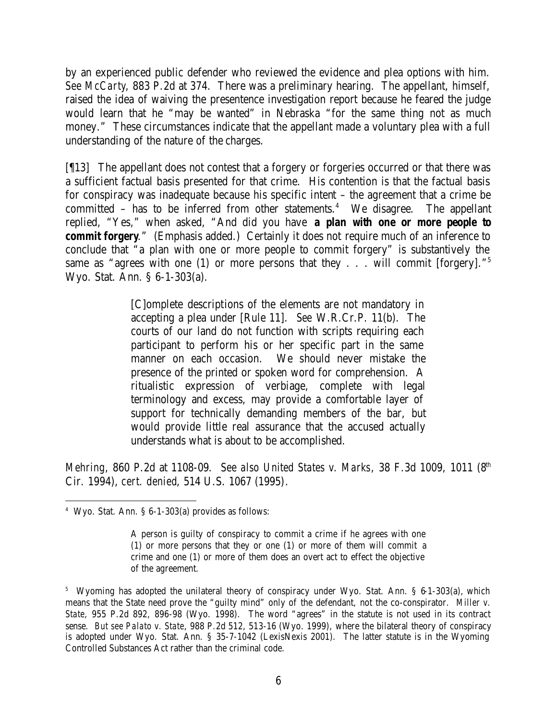by an experienced public defender who reviewed the evidence and plea options with him. *See McCarty*, 883 P.2d at 374. There was a preliminary hearing. The appellant, himself, raised the idea of waiving the presentence investigation report because he feared the judge would learn that he "may be wanted" in Nebraska "for the same thing not as much money." These circumstances indicate that the appellant made a voluntary plea with a full understanding of the nature of the charges.

[¶13] The appellant does not contest that a forgery or forgeries occurred or that there was a sufficient factual basis presented for that crime. His contention is that the factual basis for conspiracy was inadequate because his specific intent – the agreement that a crime be committed  $-$  has to be inferred from other statements.<sup>4</sup> We disagree. The appellant replied, "Yes," when asked, "And did you have *a plan with one or more people to commit forgery.*" (Emphasis added.) Certainly it does not require much of an inference to conclude that "a plan with one or more people to commit forgery" is substantively the same as "agrees with one (1) or more persons that they  $\ldots$  will commit [forgery]."<sup>5</sup> Wyo. Stat. Ann. § 6-1-303(a).

> [C]omplete descriptions of the elements are not mandatory in accepting a plea under [Rule 11]. *See* W.R.Cr.P. 11(b). The courts of our land do not function with scripts requiring each participant to perform his or her specific part in the same manner on each occasion. We should never mistake the presence of the printed or spoken word for comprehension. A ritualistic expression of verbiage, complete with legal terminology and excess, may provide a comfortable layer of support for technically demanding members of the bar, but would provide little real assurance that the accused actually understands what is about to be accomplished.

*Mehring*, 860 P.2d at 1108-09. *See also United States v. Marks*, 38 F.3d 1009, 1011 (8<sup>th</sup>) Cir. 1994), *cert. denied*, 514 U.S. 1067 (1995).

 4 Wyo. Stat. Ann. § 6-1-303(a) provides as follows:

A person is guilty of conspiracy to commit a crime if he agrees with one (1) or more persons that they or one (1) or more of them will commit a crime and one (1) or more of them does an overt act to effect the objective of the agreement.

<sup>&</sup>lt;sup>5</sup> Wyoming has adopted the unilateral theory of conspiracy under Wyo. Stat. Ann. § 6-1-303(a), which means that the State need prove the "guilty mind" only of the defendant, not the co-conspirator. *Miller v. State*, 955 P.2d 892, 896-98 (Wyo. 1998). The word "agrees" in the statute is not used in its contract sense. *But see Palato v. State*, 988 P.2d 512, 513-16 (Wyo. 1999), where the bilateral theory of conspiracy is adopted under Wyo. Stat. Ann. § 35-7-1042 (LexisNexis 2001). The latter statute is in the Wyoming Controlled Substances Act rather than the criminal code.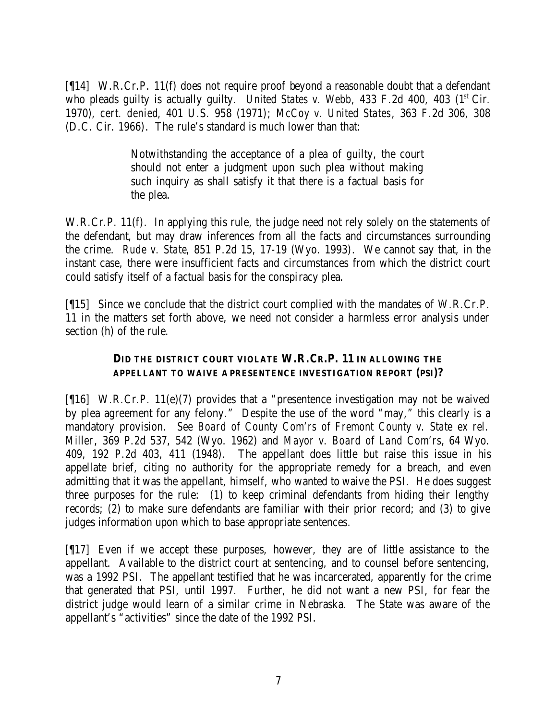[¶14] W.R.Cr.P. 11(f) does not require proof beyond a reasonable doubt that a defendant who pleads guilty is actually guilty. *United States v. Webb*, 433 F.2d 400, 403 (1<sup>st</sup> Cir. 1970), *cert. denied*, 401 U.S. 958 (1971); *McCoy v. United States*, 363 F.2d 306, 308 (D.C. Cir. 1966). The rule's standard is much lower than that:

> Notwithstanding the acceptance of a plea of guilty, the court should not enter a judgment upon such plea without making such inquiry as shall satisfy it that there is a factual basis for the plea.

W.R.Cr.P. 11(f). In applying this rule, the judge need not rely solely on the statements of the defendant, but may draw inferences from all the facts and circumstances surrounding the crime. *Rude v. State*, 851 P.2d 15, 17-19 (Wyo. 1993). We cannot say that, in the instant case, there were insufficient facts and circumstances from which the district court could satisfy itself of a factual basis for the conspiracy plea.

[¶15] Since we conclude that the district court complied with the mandates of W.R.Cr.P. 11 in the matters set forth above, we need not consider a harmless error analysis under section (h) of the rule.

#### **DID THE DISTRICT COURT VIOLATE W.R.CR.P. 11 IN ALLOWING THE APPELLANT TO WAIVE A PRESENTENCE INVESTIGATION REPORT (PSI)?**

[¶16] W.R.Cr.P. 11(e)(7) provides that a "presentence investigation may not be waived by plea agreement for any felony." Despite the use of the word "may," this clearly is a mandatory provision. *See Board of County Com'rs of Fremont County v. State ex rel. Miller*, 369 P.2d 537, 542 (Wyo. 1962) and *Mayor v. Board of Land Com'rs*, 64 Wyo. 409, 192 P.2d 403, 411 (1948). The appellant does little but raise this issue in his appellate brief, citing no authority for the appropriate remedy for a breach, and even admitting that it was the appellant, himself, who wanted to waive the PSI. He does suggest three purposes for the rule: (1) to keep criminal defendants from hiding their lengthy records; (2) to make sure defendants are familiar with their prior record; and (3) to give judges information upon which to base appropriate sentences.

[¶17] Even if we accept these purposes, however, they are of little assistance to the appellant. Available to the district court at sentencing, and to counsel before sentencing, was a 1992 PSI. The appellant testified that he was incarcerated, apparently for the crime that generated that PSI, until 1997. Further, he did not want a new PSI, for fear the district judge would learn of a similar crime in Nebraska. The State was aware of the appellant's "activities" since the date of the 1992 PSI.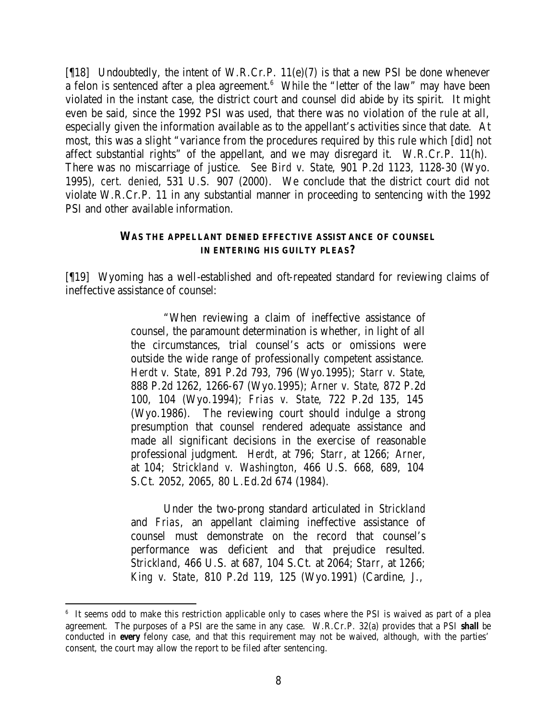[¶18] Undoubtedly, the intent of W.R.Cr.P. 11(e)(7) is that a new PSI be done whenever a felon is sentenced after a plea agreement.<sup>6</sup> While the "letter of the law" may have been violated in the instant case, the district court and counsel did abide by its spirit. It might even be said, since the 1992 PSI was used, that there was no violation of the rule at all, especially given the information available as to the appellant's activities since that date. At most, this was a slight "variance from the procedures required by this rule which [did] not affect substantial rights" of the appellant, and we may disregard it. W.R.Cr.P. 11(h). There was no miscarriage of justice. *See Bird v. State*, 901 P.2d 1123, 1128-30 (Wyo. 1995), *cert. denied*, 531 U.S. 907 (2000). We conclude that the district court did not violate W.R.Cr.P. 11 in any substantial manner in proceeding to sentencing with the 1992 PSI and other available information.

#### **WAS THE APPELLANT DENIED EFFECTIVE ASSIST ANCE OF COUNSEL IN ENTERING HIS GUILTY PLEAS?**

[¶19] Wyoming has a well-established and oft-repeated standard for reviewing claims of ineffective assistance of counsel:

> "When reviewing a claim of ineffective assistance of counsel, the paramount determination is whether, in light of all the circumstances, trial counsel's acts or omissions were outside the wide range of professionally competent assistance. *Herdt v. State*, 891 P.2d 793, 796 (Wyo.1995); *Starr v. State*, 888 P.2d 1262, 1266-67 (Wyo.1995); *Arner v. State*, 872 P.2d 100, 104 (Wyo.1994); *Frias v. State*, 722 P.2d 135, 145 (Wyo.1986). The reviewing court should indulge a strong presumption that counsel rendered adequate assistance and made all significant decisions in the exercise of reasonable professional judgment. *Herdt*, at 796; *Starr*, at 1266; *Arner*, at 104; *Strickland v. Washington*, 466 U.S. 668, 689, 104 S.Ct. 2052, 2065, 80 L.Ed.2d 674 (1984).

> Under the two-prong standard articulated in *Strickland* and *Frias*, an appellant claiming ineffective assistance of counsel must demonstrate on the record that counsel's performance was deficient and that prejudice resulted. *Strickland*, 466 U.S. at 687, 104 S.Ct. at 2064; *Starr*, at 1266; *King v. State*, 810 P.2d 119, 125 (Wyo.1991) (Cardine, J.,

<sup>6</sup> It seems odd to make this restriction applicable only to cases where the PSI is waived as part of a plea agreement. The purposes of a PSI are the same in any case. W.R.Cr.P. 32(a) provides that a PSI *shall* be conducted in *every* felony case, and that this requirement may not be waived, although, with the parties' consent, the court may allow the report to be filed after sentencing.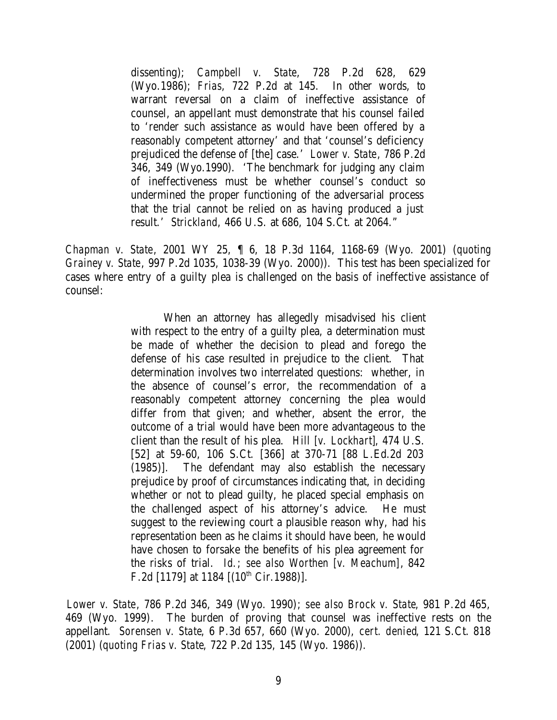dissenting); *Campbell v. State*, 728 P.2d 628, 629 (Wyo.1986); *Frias*, 722 P.2d at 145. In other words, to warrant reversal on a claim of ineffective assistance of counsel, an appellant must demonstrate that his counsel failed to 'render such assistance as would have been offered by a reasonably competent attorney' and that 'counsel's deficiency prejudiced the defense of [the] case.' *Lower v. State*, 786 P.2d 346, 349 (Wyo.1990). 'The benchmark for judging any claim of ineffectiveness must be whether counsel's conduct so undermined the proper functioning of the adversarial process that the trial cannot be relied on as having produced a just result.' *Strickland*, 466 U.S. at 686, 104 S.Ct. at 2064."

*Chapman v. State*, 2001 WY 25, ¶ 6, 18 P.3d 1164, 1168-69 (Wyo. 2001) (*quoting Grainey v. State*, 997 P.2d 1035, 1038-39 (Wyo. 2000)). This test has been specialized for cases where entry of a guilty plea is challenged on the basis of ineffective assistance of counsel:

> When an attorney has allegedly misadvised his client with respect to the entry of a guilty plea, a determination must be made of whether the decision to plead and forego the defense of his case resulted in prejudice to the client. That determination involves two interrelated questions: whether, in the absence of counsel's error, the recommendation of a reasonably competent attorney concerning the plea would differ from that given; and whether, absent the error, the outcome of a trial would have been more advantageous to the client than the result of his plea. *Hill [v. Lockhart]*, 474 U.S. [52] at 59-60, 106 S.Ct. [366] at 370-71 [88 L.Ed.2d 203 (1985)]. The defendant may also establish the necessary prejudice by proof of circumstances indicating that, in deciding whether or not to plead guilty, he placed special emphasis on the challenged aspect of his attorney's advice. He must suggest to the reviewing court a plausible reason why, had his representation been as he claims it should have been, he would have chosen to forsake the benefits of his plea agreement for the risks of trial. *Id.*; *see also Worthen [v. Meachum]*, 842 F.2d [1179] at 1184  $[(10<sup>th</sup> Cir.1988)]$ .

*Lower v. State*, 786 P.2d 346, 349 (Wyo. 1990); *see also Brock v. State*, 981 P.2d 465, 469 (Wyo. 1999). The burden of proving that counsel was ineffective rests on the appellant. *Sorensen v. State*, 6 P.3d 657, 660 (Wyo. 2000), *cert. denied*, 121 S.Ct. 818 (2001) (*quoting Frias v. State*, 722 P.2d 135, 145 (Wyo. 1986)).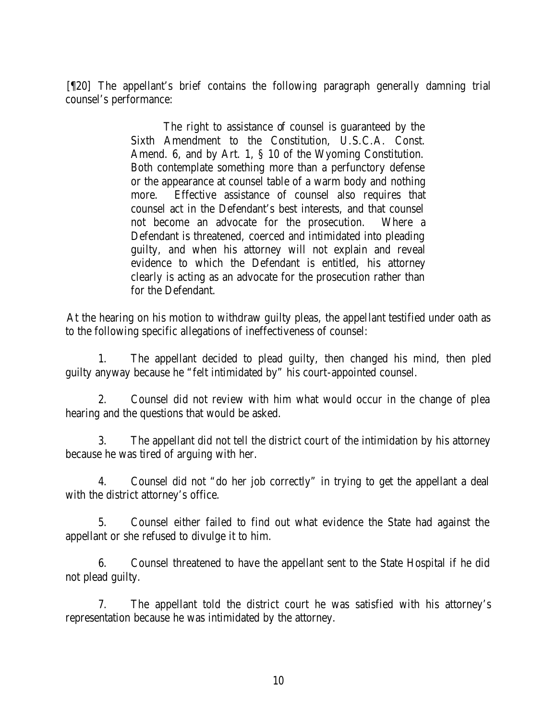[¶20] The appellant's brief contains the following paragraph generally damning trial counsel's performance:

> The right to assistance of counsel is guaranteed by the Sixth Amendment to the Constitution, U.S.C.A. Const. Amend. 6, and by Art. 1, § 10 of the Wyoming Constitution. Both contemplate something more than a perfunctory defense or the appearance at counsel table of a warm body and nothing more. Effective assistance of counsel also requires that counsel act in the Defendant's best interests, and that counsel not become an advocate for the prosecution. Where a Defendant is threatened, coerced and intimidated into pleading guilty, and when his attorney will not explain and reveal evidence to which the Defendant is entitled, his attorney clearly is acting as an advocate for the prosecution rather than for the Defendant.

At the hearing on his motion to withdraw guilty pleas, the appellant testified under oath as to the following specific allegations of ineffectiveness of counsel:

1. The appellant decided to plead guilty, then changed his mind, then pled guilty anyway because he "felt intimidated by" his court-appointed counsel.

2. Counsel did not review with him what would occur in the change of plea hearing and the questions that would be asked.

3. The appellant did not tell the district court of the intimidation by his attorney because he was tired of arguing with her.

4. Counsel did not "do her job correctly" in trying to get the appellant a deal with the district attorney's office.

5. Counsel either failed to find out what evidence the State had against the appellant or she refused to divulge it to him.

6. Counsel threatened to have the appellant sent to the State Hospital if he did not plead guilty.

7. The appellant told the district court he was satisfied with his attorney's representation because he was intimidated by the attorney.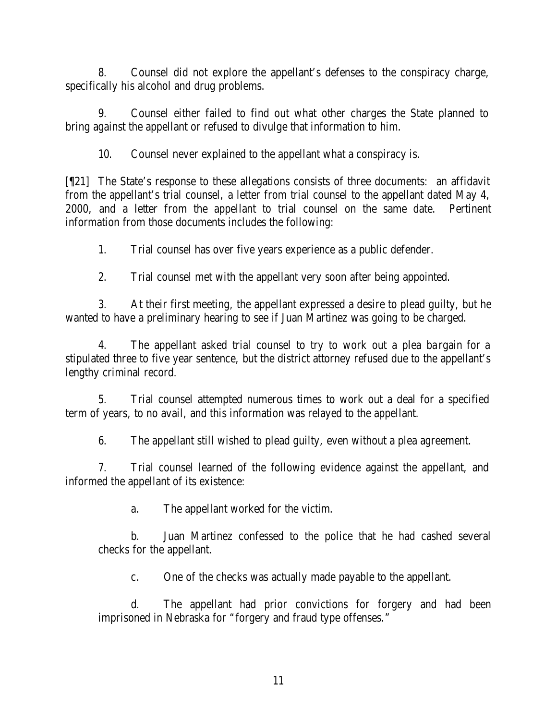8. Counsel did not explore the appellant's defenses to the conspiracy charge, specifically his alcohol and drug problems.

9. Counsel either failed to find out what other charges the State planned to bring against the appellant or refused to divulge that information to him.

10. Counsel never explained to the appellant what a conspiracy is.

[¶21] The State's response to these allegations consists of three documents: an affidavit from the appellant's trial counsel, a letter from trial counsel to the appellant dated May 4, 2000, and a letter from the appellant to trial counsel on the same date. Pertinent information from those documents includes the following:

1. Trial counsel has over five years experience as a public defender.

2. Trial counsel met with the appellant very soon after being appointed.

3. At their first meeting, the appellant expressed a desire to plead guilty, but he wanted to have a preliminary hearing to see if Juan Martinez was going to be charged.

4. The appellant asked trial counsel to try to work out a plea ba rgain for a stipulated three to five year sentence, but the district attorney refused due to the appellant's lengthy criminal record.

5. Trial counsel attempted numerous times to work out a deal for a specified term of years, to no avail, and this information was relayed to the appellant.

6. The appellant still wished to plead guilty, even without a plea agreement.

7. Trial counsel learned of the following evidence against the appellant, and informed the appellant of its existence:

a. The appellant worked for the victim.

b. Juan Martinez confessed to the police that he had cashed several checks for the appellant.

c. One of the checks was actually made payable to the appellant.

d. The appellant had prior convictions for forgery and had been imprisoned in Nebraska for "forgery and fraud type offenses."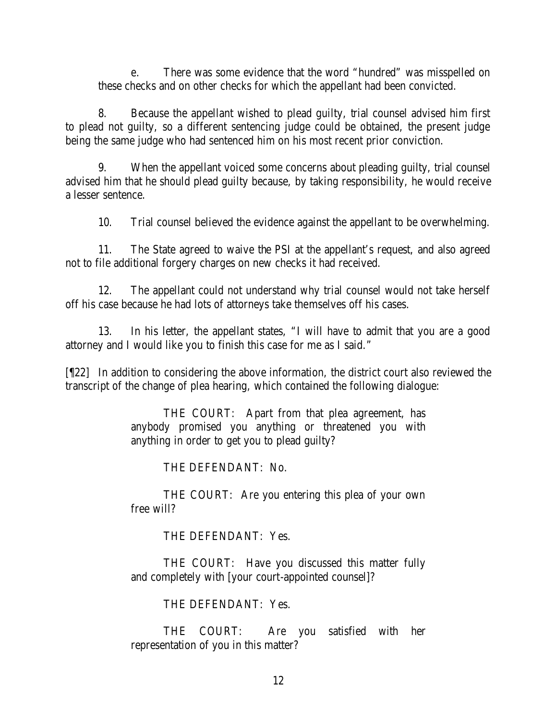e. There was some evidence that the word "hundred" was misspelled on these checks and on other checks for which the appellant had been convicted.

8. Because the appellant wished to plead guilty, trial counsel advised him first to plead not guilty, so a different sentencing judge could be obtained, the present judge being the same judge who had sentenced him on his most recent prior conviction.

9. When the appellant voiced some concerns about pleading guilty, trial counsel advised him that he should plead guilty because, by taking responsibility, he would receive a lesser sentence.

10. Trial counsel believed the evidence against the appellant to be overwhelming.

11. The State agreed to waive the PSI at the appellant's request, and also agreed not to file additional forgery charges on new checks it had received.

12. The appellant could not understand why trial counsel would not take herself off his case because he had lots of attorneys take themselves off his cases.

13. In his letter, the appellant states, "I will have to admit that you are a good attorney and I would like you to finish this case for me as I said."

[¶22] In addition to considering the above information, the district court also reviewed the transcript of the change of plea hearing, which contained the following dialogue:

> THE COURT: Apart from that plea agreement, has anybody promised you anything or threatened you with anything in order to get you to plead guilty?

> > THE DEFENDANT: No.

THE COURT: Are you entering this plea of your own free will?

THE DEFENDANT: Yes.

THE COURT: Have you discussed this matter fully and completely with [your court-appointed counsel]?

THE DEFENDANT: Yes.

THE COURT: Are you satisfied with her representation of you in this matter?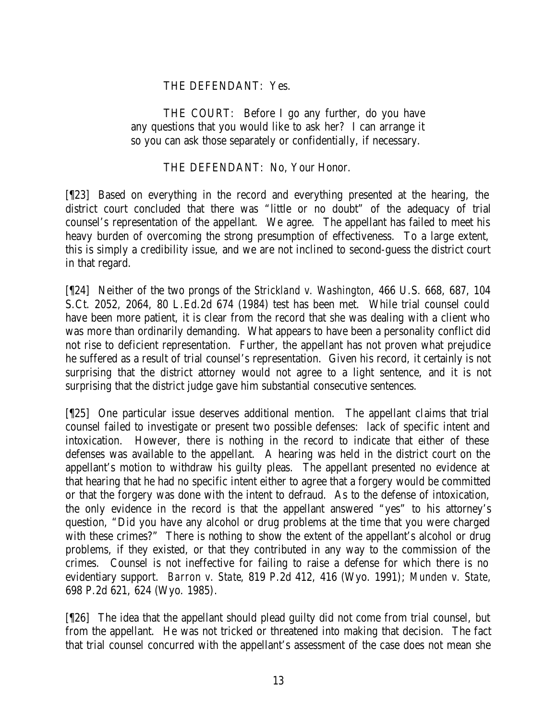### THE DEFENDANT: Yes.

THE COURT: Before I go any further, do you have any questions that you would like to ask her? I can arrange it so you can ask those separately or confidentially, if necessary.

#### THE DEFENDANT: No, Your Honor.

[¶23] Based on everything in the record and everything presented at the hearing, the district court concluded that there was "little or no doubt" of the adequacy of trial counsel's representation of the appellant. We agree. The appellant has failed to meet his heavy burden of overcoming the strong presumption of effectiveness. To a large extent, this is simply a credibility issue, and we are not inclined to second-guess the district court in that regard.

[¶24] Neither of the two prongs of the *Strickland v. Washington*, 466 U.S. 668, 687, 104 S.Ct. 2052, 2064, 80 L.Ed.2d 674 (1984) test has been met. While trial counsel could have been more patient, it is clear from the record that she was dealing with a client who was more than ordinarily demanding. What appears to have been a personality conflict did not rise to deficient representation. Further, the appellant has not proven what prejudice he suffered as a result of trial counsel's representation. Given his record, it certainly is not surprising that the district attorney would not agree to a light sentence, and it is not surprising that the district judge gave him substantial consecutive sentences.

[¶25] One particular issue deserves additional mention. The appellant claims that trial counsel failed to investigate or present two possible defenses: lack of specific intent and intoxication. However, there is nothing in the record to indicate that either of these defenses was available to the appellant. A hearing was held in the district court on the appellant's motion to withdraw his guilty pleas. The appellant presented no evidence at that hearing that he had no specific intent either to agree that a forgery would be committed or that the forgery was done with the intent to defraud. As to the defense of intoxication, the only evidence in the record is that the appellant answered "yes" to his attorney's question, "Did you have any alcohol or drug problems at the time that you were charged with these crimes?" There is nothing to show the extent of the appellant's alcohol or drug problems, if they existed, or that they contributed in any way to the commission of the crimes. Counsel is not ineffective for failing to raise a defense for which there is no evidentiary support. *Barron v. State*, 819 P.2d 412, 416 (Wyo. 1991); *Munden v. State*, 698 P.2d 621, 624 (Wyo. 1985).

[¶26] The idea that the appellant should plead guilty did not come from trial counsel, but from the appellant. He was not tricked or threatened into making that decision. The fact that trial counsel concurred with the appellant's assessment of the case does not mean she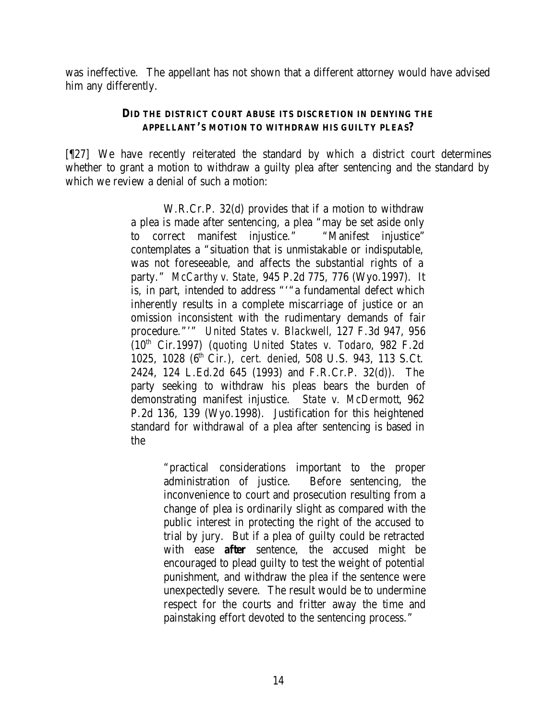was ineffective. The appellant has not shown that a different attorney would have advised him any differently.

#### **DID THE DISTRICT COURT ABUSE ITS DISCRETION IN DENYING THE APPELLANT'S MOTION TO WITHDRAW HIS GUILTY PLEAS?**

[¶27] We have recently reiterated the standard by which a district court determines whether to grant a motion to withdraw a guilty plea after sentencing and the standard by which we review a denial of such a motion:

> W.R.Cr.P. 32(d) provides that if a motion to withdraw a plea is made after sentencing, a plea "may be set aside only to correct manifest injustice." "Manifest injustice" contemplates a "situation that is unmistakable or indisputable, was not foreseeable, and affects the substantial rights of a party." *McCarthy v. State*, 945 P.2d 775, 776 (Wyo.1997). It is, in part, intended to address "'"a fundamental defect which inherently results in a complete miscarriage of justice or an omission inconsistent with the rudimentary demands of fair procedure."'" *United States v. Blackwell*, 127 F.3d 947, 956 (10th Cir.1997) (*quoting United States v. Todaro*, 982 F.2d 1025, 1028 (6th Cir.), *cert. denied*, 508 U.S. 943, 113 S.Ct. 2424, 124 L.Ed.2d 645 (1993) and F.R.Cr.P. 32(d)). The party seeking to withdraw his pleas bears the burden of demonstrating manifest injustice. *State v. McDermott*, 962 P.2d 136, 139 (Wyo.1998). Justification for this heightened standard for withdrawal of a plea after sentencing is based in the

> > "practical considerations important to the proper administration of justice. Before sentencing, the inconvenience to court and prosecution resulting from a change of plea is ordinarily slight as compared with the public interest in protecting the right of the accused to trial by jury. But if a plea of guilty could be retracted with ease *after* sentence, the accused might be encouraged to plead guilty to test the weight of potential punishment, and withdraw the plea if the sentence were unexpectedly severe. The result would be to undermine respect for the courts and fritter away the time and painstaking effort devoted to the sentencing process."